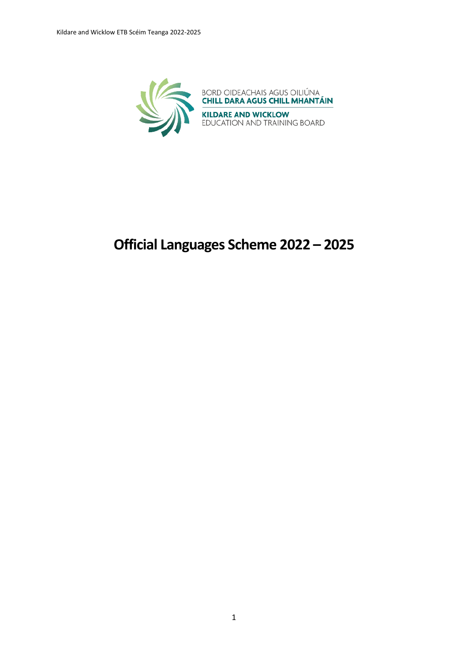

# **Official Languages Scheme 2022 – 2025**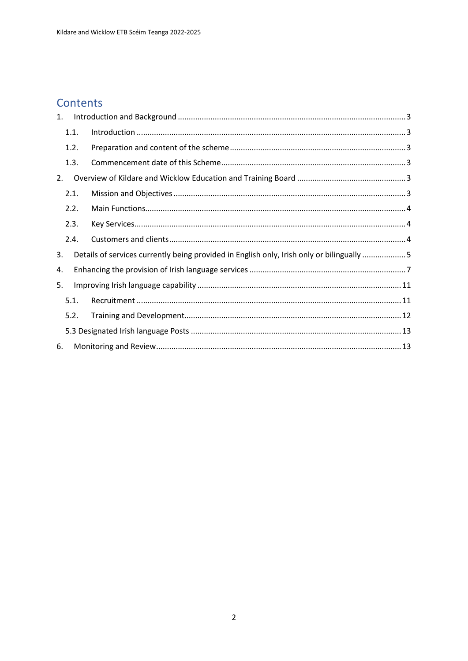## Contents

| 1. |      |                                                                                           |  |
|----|------|-------------------------------------------------------------------------------------------|--|
|    | 1.1. |                                                                                           |  |
|    | 1.2. |                                                                                           |  |
|    | 1.3. |                                                                                           |  |
| 2. |      |                                                                                           |  |
|    | 2.1. |                                                                                           |  |
|    | 2.2. |                                                                                           |  |
|    | 2.3. |                                                                                           |  |
|    | 2.4. |                                                                                           |  |
| 3. |      | Details of services currently being provided in English only, Irish only or bilingually 5 |  |
| 4. |      |                                                                                           |  |
| 5. |      |                                                                                           |  |
|    | 5.1. |                                                                                           |  |
|    | 5.2. |                                                                                           |  |
|    |      |                                                                                           |  |
| 6. |      |                                                                                           |  |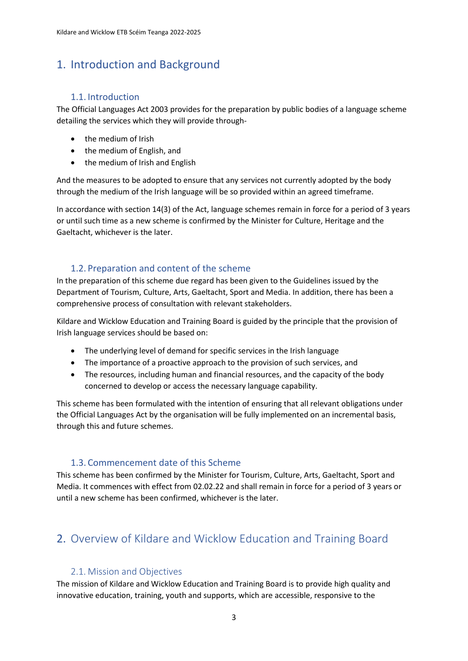### <span id="page-2-0"></span>1. Introduction and Background

#### 1.1. Introduction

<span id="page-2-1"></span>The Official Languages Act 2003 provides for the preparation by public bodies of a language scheme detailing the services which they will provide through-

- the medium of Irish
- the medium of English, and
- the medium of Irish and English

And the measures to be adopted to ensure that any services not currently adopted by the body through the medium of the Irish language will be so provided within an agreed timeframe.

In accordance with section 14(3) of the Act, language schemes remain in force for a period of 3 years or until such time as a new scheme is confirmed by the Minister for Culture, Heritage and the Gaeltacht, whichever is the later.

#### 1.2. Preparation and content of the scheme

<span id="page-2-2"></span>In the preparation of this scheme due regard has been given to the Guidelines issued by the Department of Tourism, Culture, Arts, Gaeltacht, Sport and Media. In addition, there has been a comprehensive process of consultation with relevant stakeholders.

Kildare and Wicklow Education and Training Board is guided by the principle that the provision of Irish language services should be based on:

- The underlying level of demand for specific services in the Irish language
- The importance of a proactive approach to the provision of such services, and
- The resources, including human and financial resources, and the capacity of the body concerned to develop or access the necessary language capability.

This scheme has been formulated with the intention of ensuring that all relevant obligations under the Official Languages Act by the organisation will be fully implemented on an incremental basis, through this and future schemes.

#### 1.3. Commencement date of this Scheme

<span id="page-2-3"></span>This scheme has been confirmed by the Minister for Tourism, Culture, Arts, Gaeltacht, Sport and Media. It commences with effect from 02.02.22 and shall remain in force for a period of 3 years or until a new scheme has been confirmed, whichever is the later.

## <span id="page-2-4"></span>2. Overview of Kildare and Wicklow Education and Training Board

#### 2.1. Mission and Objectives

<span id="page-2-5"></span>The mission of Kildare and Wicklow Education and Training Board is to provide high quality and innovative education, training, youth and supports, which are accessible, responsive to the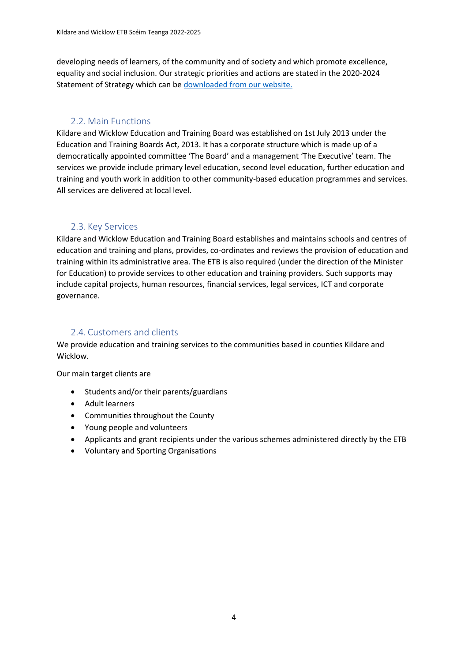developing needs of learners, of the community and of society and which promote excellence, equality and social inclusion. Our strategic priorities and actions are stated in the 2020-2024 Statement of Strategy which can be downloaded from our website.

#### 2.2. Main Functions

<span id="page-3-0"></span>Kildare and Wicklow Education and Training Board was established on 1st July 2013 under the Education and Training Boards Act, 2013. It has a corporate structure which is made up of a democratically appointed committee 'The Board' and a management 'The Executive' team. The services we provide include primary level education, second level education, further education and training and youth work in addition to other community-based education programmes and services. All services are delivered at local level.

#### 2.3. Key Services

<span id="page-3-1"></span>Kildare and Wicklow Education and Training Board establishes and maintains schools and centres of education and training and plans, provides, co-ordinates and reviews the provision of education and training within its administrative area. The ETB is also required (under the direction of the Minister for Education) to provide services to other education and training providers. Such supports may include capital projects, human resources, financial services, legal services, ICT and corporate governance.

#### 2.4. Customers and clients

<span id="page-3-2"></span>We provide education and training services to the communities based in counties Kildare and Wicklow.

Our main target clients are

- Students and/or their parents/guardians
- Adult learners
- Communities throughout the County
- Young people and volunteers
- Applicants and grant recipients under the various schemes administered directly by the ETB
- Voluntary and Sporting Organisations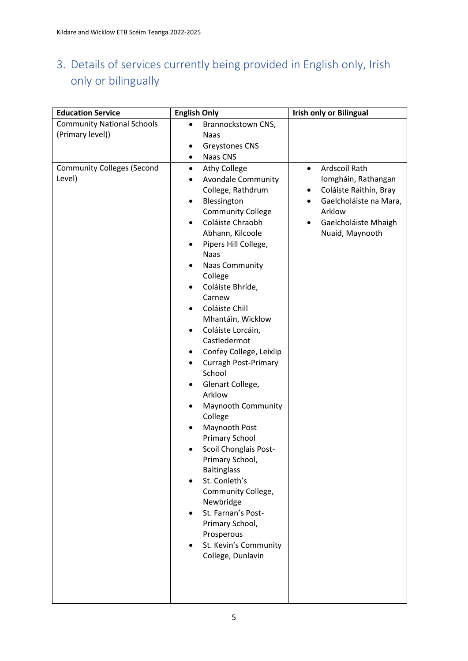## <span id="page-4-0"></span>3. Details of services currently being provided in English only, Irish only or bilingually

| <b>Education Service</b>                                                                             | <b>English Only</b>                                                                                                                                                                                                                                                                                                                                                                                                                             | <b>Irish only or Bilingual</b>                                                                                                                                                            |
|------------------------------------------------------------------------------------------------------|-------------------------------------------------------------------------------------------------------------------------------------------------------------------------------------------------------------------------------------------------------------------------------------------------------------------------------------------------------------------------------------------------------------------------------------------------|-------------------------------------------------------------------------------------------------------------------------------------------------------------------------------------------|
| <b>Community National Schools</b><br>(Primary level))<br><b>Community Colleges (Second</b><br>Level) | Brannockstown CNS,<br>$\bullet$<br>Naas<br><b>Greystones CNS</b><br><b>Naas CNS</b><br>$\bullet$<br><b>Athy College</b><br>$\bullet$<br><b>Avondale Community</b><br>$\bullet$<br>College, Rathdrum<br>Blessington<br>٠<br><b>Community College</b><br>Coláiste Chraobh<br>$\bullet$<br>Abhann, Kilcoole<br>Pipers Hill College,<br>٠<br><b>Naas</b><br><b>Naas Community</b><br>٠<br>College                                                   | Ardscoil Rath<br>$\bullet$<br>Iomgháin, Rathangan<br>Coláiste Raithín, Bray<br>$\bullet$<br>Gaelcholáiste na Mara,<br>$\bullet$<br>Arklow<br>Gaelcholáiste Mhaigh<br>٠<br>Nuaid, Maynooth |
|                                                                                                      | Coláiste Bhríde,<br>Carnew<br>Coláiste Chill<br>Mhantáin, Wicklow<br>Coláiste Lorcáin,<br>$\bullet$<br>Castledermot<br>Confey College, Leixlip<br><b>Curragh Post-Primary</b><br>٠<br>School<br>Glenart College,<br>Arklow<br><b>Maynooth Community</b><br>College<br>Maynooth Post<br><b>Primary School</b><br>Scoil Chonglais Post-<br>Primary School,<br><b>Baltinglass</b><br>St. Conleth's<br>$\bullet$<br>Community College,<br>Newbridge |                                                                                                                                                                                           |
|                                                                                                      | St. Farnan's Post-<br>Primary School,<br>Prosperous<br>St. Kevin's Community<br>College, Dunlavin                                                                                                                                                                                                                                                                                                                                               |                                                                                                                                                                                           |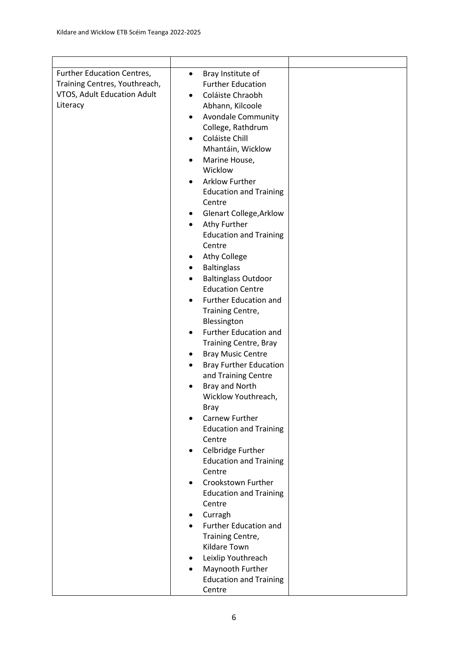| Further Education Centres,    | Bray Institute of<br>$\bullet$         |  |
|-------------------------------|----------------------------------------|--|
| Training Centres, Youthreach, | <b>Further Education</b>               |  |
| VTOS, Adult Education Adult   | Coláiste Chraobh<br>$\bullet$          |  |
| Literacy                      |                                        |  |
|                               | Abhann, Kilcoole                       |  |
|                               | <b>Avondale Community</b><br>$\bullet$ |  |
|                               | College, Rathdrum                      |  |
|                               | Coláiste Chill<br>$\bullet$            |  |
|                               | Mhantáin, Wicklow                      |  |
|                               | Marine House,<br>٠                     |  |
|                               | Wicklow                                |  |
|                               | <b>Arklow Further</b><br>$\bullet$     |  |
|                               | <b>Education and Training</b>          |  |
|                               | Centre                                 |  |
|                               | <b>Glenart College, Arklow</b><br>٠    |  |
|                               | Athy Further<br>$\bullet$              |  |
|                               | <b>Education and Training</b>          |  |
|                               | Centre                                 |  |
|                               | <b>Athy College</b><br>٠               |  |
|                               | <b>Baltinglass</b><br>٠                |  |
|                               | <b>Baltinglass Outdoor</b>             |  |
|                               | <b>Education Centre</b>                |  |
|                               | Further Education and<br>٠             |  |
|                               | Training Centre,                       |  |
|                               | Blessington                            |  |
|                               | Further Education and<br>$\bullet$     |  |
|                               | <b>Training Centre, Bray</b>           |  |
|                               | <b>Bray Music Centre</b><br>٠          |  |
|                               | <b>Bray Further Education</b><br>٠     |  |
|                               | and Training Centre                    |  |
|                               | Bray and North                         |  |
|                               | Wicklow Youthreach,                    |  |
|                               | Bray                                   |  |
|                               | Carnew Further                         |  |
|                               | <b>Education and Training</b>          |  |
|                               | Centre                                 |  |
|                               | Celbridge Further<br>٠                 |  |
|                               | <b>Education and Training</b>          |  |
|                               | Centre                                 |  |
|                               | Crookstown Further<br>٠                |  |
|                               | <b>Education and Training</b>          |  |
|                               | Centre                                 |  |
|                               | Curragh<br>٠                           |  |
|                               | <b>Further Education and</b>           |  |
|                               | Training Centre,                       |  |
|                               | Kildare Town                           |  |
|                               | Leixlip Youthreach<br>٠                |  |
|                               | Maynooth Further                       |  |
|                               | <b>Education and Training</b>          |  |
|                               | Centre                                 |  |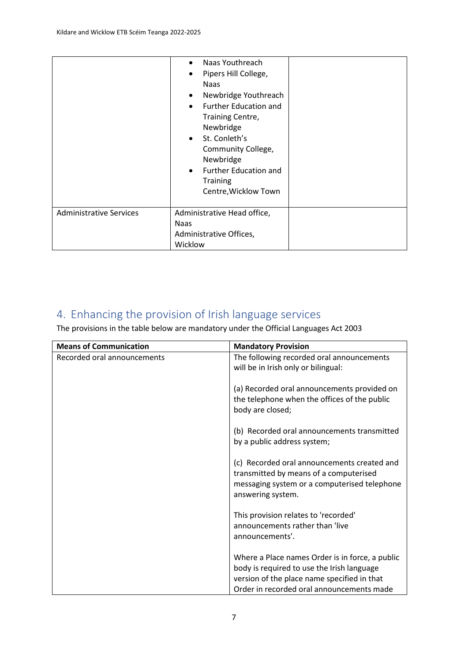|                                | Naas Youthreach<br>$\bullet$<br>Pipers Hill College,<br>$\bullet$<br><b>Naas</b><br>Newbridge Youthreach<br>$\bullet$<br><b>Further Education and</b><br>$\bullet$<br>Training Centre,<br>Newbridge<br>St. Conleth's<br>$\bullet$<br>Community College,<br>Newbridge<br><b>Further Education and</b><br>$\bullet$<br><b>Training</b><br>Centre, Wicklow Town |  |
|--------------------------------|--------------------------------------------------------------------------------------------------------------------------------------------------------------------------------------------------------------------------------------------------------------------------------------------------------------------------------------------------------------|--|
| <b>Administrative Services</b> | Administrative Head office,                                                                                                                                                                                                                                                                                                                                  |  |
|                                | <b>Naas</b>                                                                                                                                                                                                                                                                                                                                                  |  |
|                                | Administrative Offices,                                                                                                                                                                                                                                                                                                                                      |  |
|                                | Wicklow                                                                                                                                                                                                                                                                                                                                                      |  |

## <span id="page-6-0"></span>4. Enhancing the provision of Irish language services

The provisions in the table below are mandatory under the Official Languages Act 2003

| <b>Means of Communication</b> | <b>Mandatory Provision</b>                                                               |
|-------------------------------|------------------------------------------------------------------------------------------|
| Recorded oral announcements   | The following recorded oral announcements                                                |
|                               | will be in Irish only or bilingual:                                                      |
|                               |                                                                                          |
|                               | (a) Recorded oral announcements provided on                                              |
|                               | the telephone when the offices of the public                                             |
|                               | body are closed;                                                                         |
|                               | (b) Recorded oral announcements transmitted                                              |
|                               | by a public address system;                                                              |
|                               |                                                                                          |
|                               | (c) Recorded oral announcements created and                                              |
|                               | transmitted by means of a computerised                                                   |
|                               | messaging system or a computerised telephone                                             |
|                               | answering system.                                                                        |
|                               | This provision relates to 'recorded'                                                     |
|                               | announcements rather than 'live                                                          |
|                               | announcements'.                                                                          |
|                               |                                                                                          |
|                               | Where a Place names Order is in force, a public                                          |
|                               | body is required to use the Irish language                                               |
|                               | version of the place name specified in that<br>Order in recorded oral announcements made |
|                               |                                                                                          |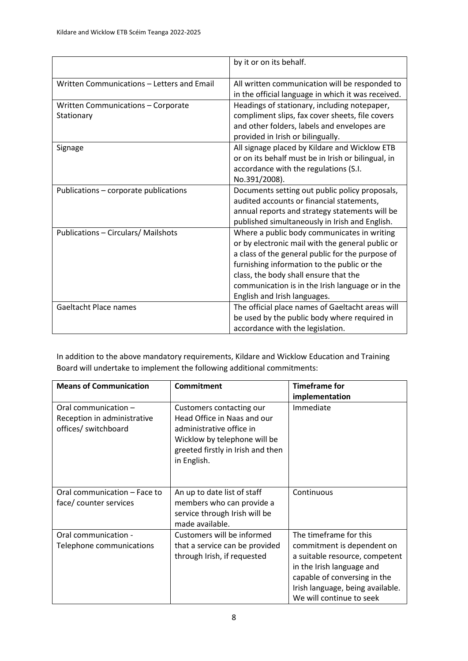|                                                  | by it or on its behalf.                                                                                                                                                                                                                                                                                                         |
|--------------------------------------------------|---------------------------------------------------------------------------------------------------------------------------------------------------------------------------------------------------------------------------------------------------------------------------------------------------------------------------------|
| Written Communications - Letters and Email       | All written communication will be responded to<br>in the official language in which it was received.                                                                                                                                                                                                                            |
| Written Communications - Corporate<br>Stationary | Headings of stationary, including notepaper,<br>compliment slips, fax cover sheets, file covers<br>and other folders, labels and envelopes are<br>provided in Irish or bilingually.                                                                                                                                             |
| Signage                                          | All signage placed by Kildare and Wicklow ETB<br>or on its behalf must be in Irish or bilingual, in<br>accordance with the regulations (S.I.<br>No.391/2008).                                                                                                                                                                   |
| Publications - corporate publications            | Documents setting out public policy proposals,<br>audited accounts or financial statements,<br>annual reports and strategy statements will be<br>published simultaneously in Irish and English.                                                                                                                                 |
| <b>Publications - Circulars/ Mailshots</b>       | Where a public body communicates in writing<br>or by electronic mail with the general public or<br>a class of the general public for the purpose of<br>furnishing information to the public or the<br>class, the body shall ensure that the<br>communication is in the Irish language or in the<br>English and Irish languages. |
| <b>Gaeltacht Place names</b>                     | The official place names of Gaeltacht areas will<br>be used by the public body where required in<br>accordance with the legislation.                                                                                                                                                                                            |

In addition to the above mandatory requirements, Kildare and Wicklow Education and Training Board will undertake to implement the following additional commitments:

| <b>Means of Communication</b>                                               | <b>Commitment</b>                                                                                                                                                       | <b>Timeframe for</b>                                                                                                                                                                                                |
|-----------------------------------------------------------------------------|-------------------------------------------------------------------------------------------------------------------------------------------------------------------------|---------------------------------------------------------------------------------------------------------------------------------------------------------------------------------------------------------------------|
|                                                                             |                                                                                                                                                                         | implementation                                                                                                                                                                                                      |
| Oral communication -<br>Reception in administrative<br>offices/ switchboard | Customers contacting our<br>Head Office in Naas and our<br>administrative office in<br>Wicklow by telephone will be<br>greeted firstly in Irish and then<br>in English. | Immediate                                                                                                                                                                                                           |
| Oral communication - Face to<br>face/ counter services                      | An up to date list of staff<br>members who can provide a<br>service through Irish will be<br>made available.                                                            | Continuous                                                                                                                                                                                                          |
| Oral communication -<br>Telephone communications                            | Customers will be informed<br>that a service can be provided<br>through Irish, if requested                                                                             | The timeframe for this<br>commitment is dependent on<br>a suitable resource, competent<br>in the Irish language and<br>capable of conversing in the<br>Irish language, being available.<br>We will continue to seek |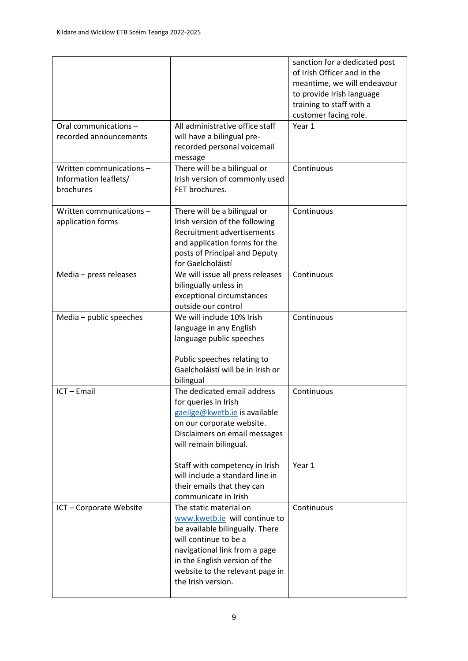|                                                                |                                                                                                                                                                                                                                                | sanction for a dedicated post<br>of Irish Officer and in the<br>meantime, we will endeavour<br>to provide Irish language<br>training to staff with a<br>customer facing role. |
|----------------------------------------------------------------|------------------------------------------------------------------------------------------------------------------------------------------------------------------------------------------------------------------------------------------------|-------------------------------------------------------------------------------------------------------------------------------------------------------------------------------|
| Oral communications -<br>recorded announcements                | All administrative office staff<br>will have a bilingual pre-<br>recorded personal voicemail<br>message                                                                                                                                        | Year 1                                                                                                                                                                        |
| Written communications -<br>Information leaflets/<br>brochures | There will be a bilingual or<br>Irish version of commonly used<br>FET brochures.                                                                                                                                                               | Continuous                                                                                                                                                                    |
| Written communications -<br>application forms                  | There will be a bilingual or<br>Irish version of the following<br>Recruitment advertisements<br>and application forms for the<br>posts of Principal and Deputy<br>for Gaelcholáistí                                                            | Continuous                                                                                                                                                                    |
| Media - press releases                                         | We will issue all press releases<br>bilingually unless in<br>exceptional circumstances<br>outside our control                                                                                                                                  | Continuous                                                                                                                                                                    |
| Media - public speeches                                        | We will include 10% Irish<br>language in any English<br>language public speeches<br>Public speeches relating to<br>Gaelcholáistí will be in Irish or<br>bilingual                                                                              | Continuous                                                                                                                                                                    |
| ICT - Email                                                    | The dedicated email address<br>for queries in Irish<br>gaeilge@kwetb.ie is available<br>on our corporate website.<br>Disclaimers on email messages<br>will remain bilingual.<br>Staff with competency in Irish                                 | Continuous<br>Year 1                                                                                                                                                          |
|                                                                | will include a standard line in<br>their emails that they can<br>communicate in Irish                                                                                                                                                          |                                                                                                                                                                               |
| ICT - Corporate Website                                        | The static material on<br>www.kwetb.ie will continue to<br>be available bilingually. There<br>will continue to be a<br>navigational link from a page<br>in the English version of the<br>website to the relevant page in<br>the Irish version. | Continuous                                                                                                                                                                    |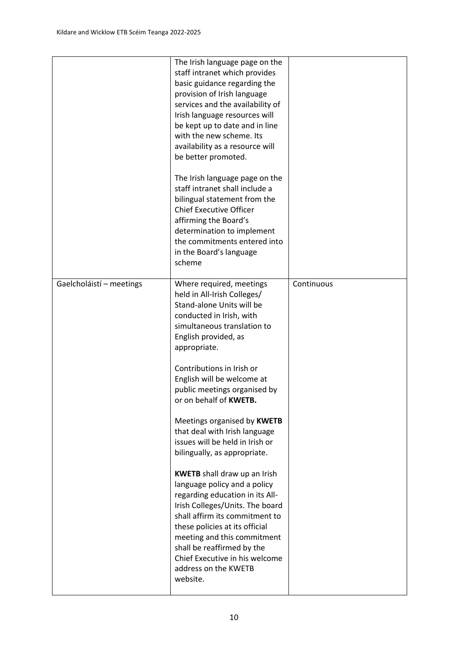|                          | The Irish language page on the<br>staff intranet which provides<br>basic guidance regarding the<br>provision of Irish language<br>services and the availability of<br>Irish language resources will<br>be kept up to date and in line<br>with the new scheme. Its<br>availability as a resource will<br>be better promoted.                                                      |            |
|--------------------------|----------------------------------------------------------------------------------------------------------------------------------------------------------------------------------------------------------------------------------------------------------------------------------------------------------------------------------------------------------------------------------|------------|
|                          | The Irish language page on the<br>staff intranet shall include a<br>bilingual statement from the<br><b>Chief Executive Officer</b><br>affirming the Board's<br>determination to implement<br>the commitments entered into<br>in the Board's language<br>scheme                                                                                                                   |            |
| Gaelcholáistí - meetings | Where required, meetings<br>held in All-Irish Colleges/<br>Stand-alone Units will be<br>conducted in Irish, with<br>simultaneous translation to<br>English provided, as<br>appropriate.<br>Contributions in Irish or                                                                                                                                                             | Continuous |
|                          | English will be welcome at<br>public meetings organised by<br>or on behalf of KWETB.<br>Meetings organised by KWETB<br>that deal with Irish language<br>issues will be held in Irish or                                                                                                                                                                                          |            |
|                          | bilingually, as appropriate.<br><b>KWETB</b> shall draw up an Irish<br>language policy and a policy<br>regarding education in its All-<br>Irish Colleges/Units. The board<br>shall affirm its commitment to<br>these policies at its official<br>meeting and this commitment<br>shall be reaffirmed by the<br>Chief Executive in his welcome<br>address on the KWETB<br>website. |            |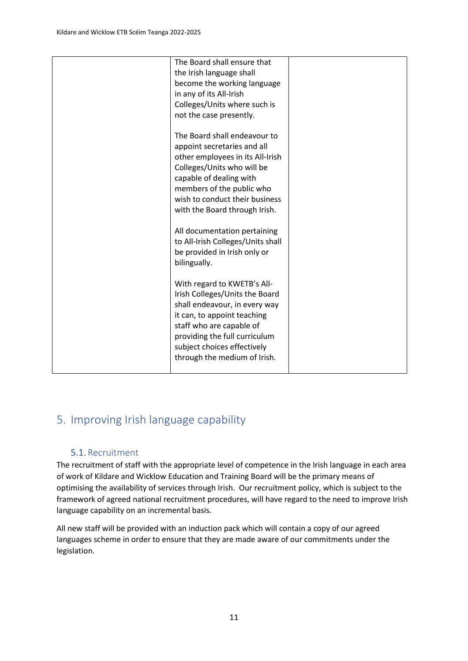| The Board shall ensure that |                                                                                                                                                                                                                                                                                                                                                                                                                                                                                                                                                                                                                                                                                                                                                                                             |
|-----------------------------|---------------------------------------------------------------------------------------------------------------------------------------------------------------------------------------------------------------------------------------------------------------------------------------------------------------------------------------------------------------------------------------------------------------------------------------------------------------------------------------------------------------------------------------------------------------------------------------------------------------------------------------------------------------------------------------------------------------------------------------------------------------------------------------------|
|                             |                                                                                                                                                                                                                                                                                                                                                                                                                                                                                                                                                                                                                                                                                                                                                                                             |
|                             |                                                                                                                                                                                                                                                                                                                                                                                                                                                                                                                                                                                                                                                                                                                                                                                             |
|                             |                                                                                                                                                                                                                                                                                                                                                                                                                                                                                                                                                                                                                                                                                                                                                                                             |
|                             |                                                                                                                                                                                                                                                                                                                                                                                                                                                                                                                                                                                                                                                                                                                                                                                             |
|                             |                                                                                                                                                                                                                                                                                                                                                                                                                                                                                                                                                                                                                                                                                                                                                                                             |
|                             |                                                                                                                                                                                                                                                                                                                                                                                                                                                                                                                                                                                                                                                                                                                                                                                             |
|                             |                                                                                                                                                                                                                                                                                                                                                                                                                                                                                                                                                                                                                                                                                                                                                                                             |
|                             |                                                                                                                                                                                                                                                                                                                                                                                                                                                                                                                                                                                                                                                                                                                                                                                             |
|                             |                                                                                                                                                                                                                                                                                                                                                                                                                                                                                                                                                                                                                                                                                                                                                                                             |
|                             |                                                                                                                                                                                                                                                                                                                                                                                                                                                                                                                                                                                                                                                                                                                                                                                             |
|                             |                                                                                                                                                                                                                                                                                                                                                                                                                                                                                                                                                                                                                                                                                                                                                                                             |
|                             |                                                                                                                                                                                                                                                                                                                                                                                                                                                                                                                                                                                                                                                                                                                                                                                             |
|                             |                                                                                                                                                                                                                                                                                                                                                                                                                                                                                                                                                                                                                                                                                                                                                                                             |
|                             |                                                                                                                                                                                                                                                                                                                                                                                                                                                                                                                                                                                                                                                                                                                                                                                             |
|                             |                                                                                                                                                                                                                                                                                                                                                                                                                                                                                                                                                                                                                                                                                                                                                                                             |
|                             |                                                                                                                                                                                                                                                                                                                                                                                                                                                                                                                                                                                                                                                                                                                                                                                             |
|                             |                                                                                                                                                                                                                                                                                                                                                                                                                                                                                                                                                                                                                                                                                                                                                                                             |
|                             |                                                                                                                                                                                                                                                                                                                                                                                                                                                                                                                                                                                                                                                                                                                                                                                             |
|                             |                                                                                                                                                                                                                                                                                                                                                                                                                                                                                                                                                                                                                                                                                                                                                                                             |
|                             |                                                                                                                                                                                                                                                                                                                                                                                                                                                                                                                                                                                                                                                                                                                                                                                             |
|                             |                                                                                                                                                                                                                                                                                                                                                                                                                                                                                                                                                                                                                                                                                                                                                                                             |
|                             |                                                                                                                                                                                                                                                                                                                                                                                                                                                                                                                                                                                                                                                                                                                                                                                             |
|                             |                                                                                                                                                                                                                                                                                                                                                                                                                                                                                                                                                                                                                                                                                                                                                                                             |
|                             |                                                                                                                                                                                                                                                                                                                                                                                                                                                                                                                                                                                                                                                                                                                                                                                             |
|                             |                                                                                                                                                                                                                                                                                                                                                                                                                                                                                                                                                                                                                                                                                                                                                                                             |
|                             |                                                                                                                                                                                                                                                                                                                                                                                                                                                                                                                                                                                                                                                                                                                                                                                             |
|                             |                                                                                                                                                                                                                                                                                                                                                                                                                                                                                                                                                                                                                                                                                                                                                                                             |
|                             |                                                                                                                                                                                                                                                                                                                                                                                                                                                                                                                                                                                                                                                                                                                                                                                             |
|                             |                                                                                                                                                                                                                                                                                                                                                                                                                                                                                                                                                                                                                                                                                                                                                                                             |
|                             | the Irish language shall<br>become the working language<br>in any of its All-Irish<br>Colleges/Units where such is<br>not the case presently.<br>The Board shall endeavour to<br>appoint secretaries and all<br>other employees in its All-Irish<br>Colleges/Units who will be<br>capable of dealing with<br>members of the public who<br>wish to conduct their business<br>with the Board through Irish.<br>All documentation pertaining<br>to All-Irish Colleges/Units shall<br>be provided in Irish only or<br>bilingually.<br>With regard to KWETB's All-<br>Irish Colleges/Units the Board<br>shall endeavour, in every way<br>it can, to appoint teaching<br>staff who are capable of<br>providing the full curriculum<br>subject choices effectively<br>through the medium of Irish. |

## <span id="page-10-0"></span>5. Improving Irish language capability

#### 5.1. Recruitment

<span id="page-10-1"></span>The recruitment of staff with the appropriate level of competence in the Irish language in each area of work of Kildare and Wicklow Education and Training Board will be the primary means of optimising the availability of services through Irish. Our recruitment policy, which is subject to the framework of agreed national recruitment procedures, will have regard to the need to improve Irish language capability on an incremental basis.

All new staff will be provided with an induction pack which will contain a copy of our agreed languages scheme in order to ensure that they are made aware of our commitments under the legislation.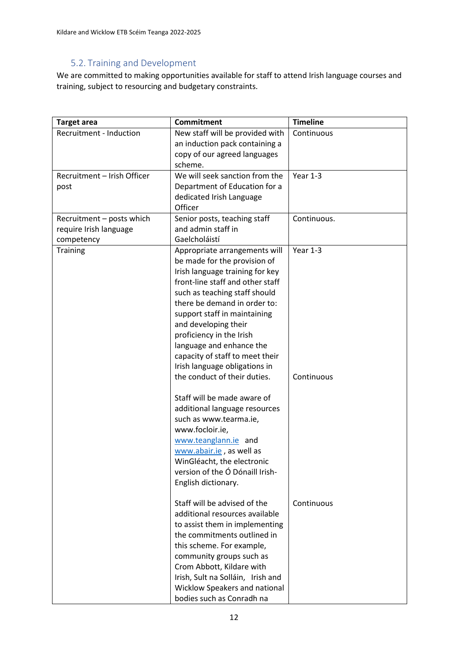#### 5.2. Training and Development

<span id="page-11-0"></span>We are committed to making opportunities available for staff to attend Irish language courses and training, subject to resourcing and budgetary constraints.

| <b>Target area</b>            | <b>Commitment</b>                                  | <b>Timeline</b> |
|-------------------------------|----------------------------------------------------|-----------------|
| Recruitment - Induction       | New staff will be provided with                    | Continuous      |
|                               | an induction pack containing a                     |                 |
|                               | copy of our agreed languages                       |                 |
|                               | scheme.                                            |                 |
| Recruitment - Irish Officer   | We will seek sanction from the                     | Year 1-3        |
| post                          | Department of Education for a                      |                 |
|                               | dedicated Irish Language                           |                 |
|                               | Officer                                            |                 |
| Recruitment - posts which     | Senior posts, teaching staff<br>and admin staff in | Continuous.     |
| require Irish language        | Gaelcholáistí                                      |                 |
| competency<br><b>Training</b> | Appropriate arrangements will                      | Year 1-3        |
|                               | be made for the provision of                       |                 |
|                               | Irish language training for key                    |                 |
|                               | front-line staff and other staff                   |                 |
|                               | such as teaching staff should                      |                 |
|                               | there be demand in order to:                       |                 |
|                               | support staff in maintaining                       |                 |
|                               | and developing their                               |                 |
|                               | proficiency in the Irish                           |                 |
|                               | language and enhance the                           |                 |
|                               | capacity of staff to meet their                    |                 |
|                               | Irish language obligations in                      |                 |
|                               | the conduct of their duties.                       | Continuous      |
|                               | Staff will be made aware of                        |                 |
|                               | additional language resources                      |                 |
|                               | such as www.tearma.ie,                             |                 |
|                               | www.focloir.ie,                                    |                 |
|                               | www.teanglann.ie and                               |                 |
|                               | www.abair.ie, as well as                           |                 |
|                               | WinGléacht, the electronic                         |                 |
|                               | version of the Ó Dónaill Irish-                    |                 |
|                               | English dictionary.                                |                 |
|                               | Staff will be advised of the                       | Continuous      |
|                               | additional resources available                     |                 |
|                               | to assist them in implementing                     |                 |
|                               | the commitments outlined in                        |                 |
|                               | this scheme. For example,                          |                 |
|                               | community groups such as                           |                 |
|                               | Crom Abbott, Kildare with                          |                 |
|                               | Irish, Sult na Solláin, Irish and                  |                 |
|                               | Wicklow Speakers and national                      |                 |
|                               | bodies such as Conradh na                          |                 |